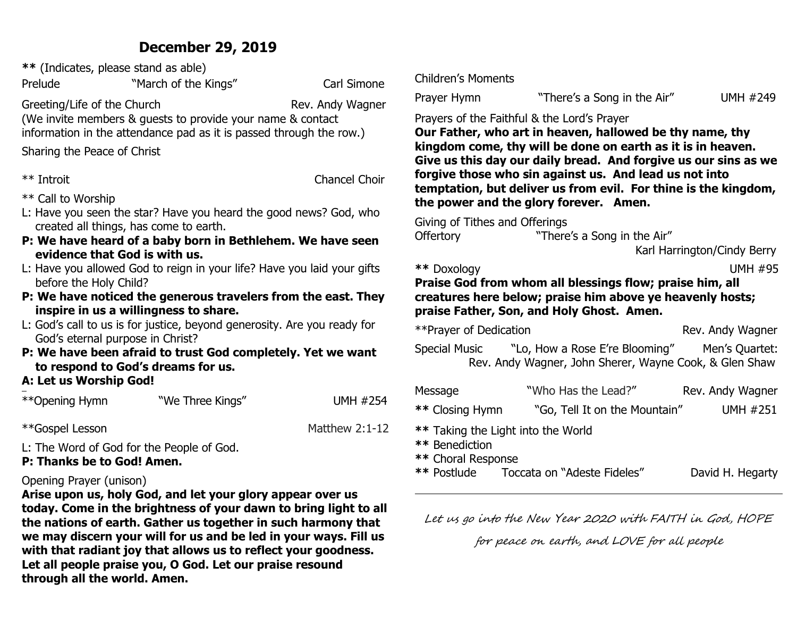## **December 29, 2019**

| ** (Indicates, please stand as able)                                                                                              |                                                                   |                      |                                                                 |                   |
|-----------------------------------------------------------------------------------------------------------------------------------|-------------------------------------------------------------------|----------------------|-----------------------------------------------------------------|-------------------|
| Prelude                                                                                                                           | "March of the Kings"                                              | Carl Simone          | <b>Children's Moments</b>                                       |                   |
| Greeting/Life of the Church                                                                                                       |                                                                   | Rev. Andy Wagner     | Prayer Hymn                                                     | "There            |
| (We invite members & guests to provide your name & contact<br>information in the attendance pad as it is passed through the row.) |                                                                   |                      | Prayers of the Faithful & the Le<br>Our Father, who art in heav |                   |
| Sharing the Peace of Christ                                                                                                       |                                                                   |                      | kingdom come, thy will be<br>Give us this day our daily b       |                   |
| ** Introit                                                                                                                        |                                                                   | <b>Chancel Choir</b> | forgive those who sin agair                                     |                   |
| ** Call to Worship                                                                                                                |                                                                   |                      | temptation, but deliver us<br>the power and the glory fo        |                   |
|                                                                                                                                   | L: Have you seen the star? Have you heard the good news? God, who |                      | Giving of Tithes and Offerings                                  |                   |
|                                                                                                                                   | created all things, has come to earth.                            |                      |                                                                 | "There            |
|                                                                                                                                   | P: We have heard of a baby born in Bethlehem. We have seen        |                      | <b>Offertory</b>                                                |                   |
| evidence that God is with us.                                                                                                     |                                                                   |                      |                                                                 |                   |
| L: Have you allowed God to reign in your life? Have you laid your gifts<br>before the Holy Child?                                 |                                                                   |                      | ** Doxology<br><b>Praise God from whom all  </b>                |                   |
|                                                                                                                                   | P: We have noticed the generous travelers from the east. They     |                      | creatures here below; prais                                     |                   |
|                                                                                                                                   | inspire in us a willingness to share.                             |                      | praise Father, Son, and Hol                                     |                   |
| L: God's call to us is for justice, beyond generosity. Are you ready for                                                          |                                                                   |                      | **Prayer of Dedication                                          |                   |
| God's eternal purpose in Christ?<br>P: We have been afraid to trust God completely. Yet we want                                   |                                                                   | Special Music        | "Lo, How a                                                      |                   |
|                                                                                                                                   | to respond to God's dreams for us.                                |                      |                                                                 | Rev. Andy Wagner, |
| A: Let us Worship God!                                                                                                            |                                                                   |                      |                                                                 |                   |
|                                                                                                                                   |                                                                   |                      | Message                                                         | "Who Ha           |
| **Opening Hymn                                                                                                                    | "We Three Kings"                                                  | <b>UMH #254</b>      | ** Closing Hymn                                                 | "Go, Te           |
| **Gospel Lesson                                                                                                                   |                                                                   | Matthew 2:1-12       | ** Taking the Light into the W                                  |                   |

L: The Word of God for the People of God.

## **P: Thanks be to God! Amen.**

### Opening Prayer (unison)

**Arise upon us, holy God, and let your glory appear over us today. Come in the brightness of your dawn to bring light to all the nations of earth. Gather us together in such harmony that we may discern your will for us and be led in your ways. Fill us with that radiant joy that allows us to reflect your goodness. Let all people praise you, O God. Let our praise resound through all the world. Amen.**

e's a Song in the Air" UMH #249

## ord's Prayer

ven, hallowed be thy name, thy **done on earth as it is in heaven. Give us this day our daily bread. And forgive us our sins as we forgive than 15 and 16 and 16 and 16 and 16 and 16 and 16 and 16 and 16 and 16 and 16 and 16 and 16 and 16 and 16 and 16 and 16 and 16 and 16 and 16 and 16 and 16 and 16 and 16 and 16 and 16 and 16 and 16 and 16 and 16 an** from evil. For thine is the kingdom, rever. **Amen.** 

's a Song in the Air"

Karl Harrington/Cindy Berry

**UMH #95** 

## **blessings flow; praise him, all** se him above ye heavenly hosts; **ly Ghost. Amen.**

| **Prayer of Dedication |                                                        | Rev. Andy Wagner |
|------------------------|--------------------------------------------------------|------------------|
| Special Music          | "Lo, How a Rose E're Blooming"                         | Men's Quartet:   |
|                        | Rev. Andy Wagner, John Sherer, Wayne Cook, & Glen Shaw |                  |

| Message                                              | "Who Has the Lead?"           | Rev. Andy Wagner |  |
|------------------------------------------------------|-------------------------------|------------------|--|
| ** Closing Hymn                                      | "Go, Tell It on the Mountain" | <b>UMH #251</b>  |  |
| ** Taking the Light into the World<br>** Benediction |                               |                  |  |
| ** Choral Response                                   |                               |                  |  |
| ** Postlude                                          | Toccata on "Adeste Fideles"   | David H. Hegarty |  |

Let us go into the New Year 2020 with FAITH in God, HOPE

for peace on earth, and LOVE for all people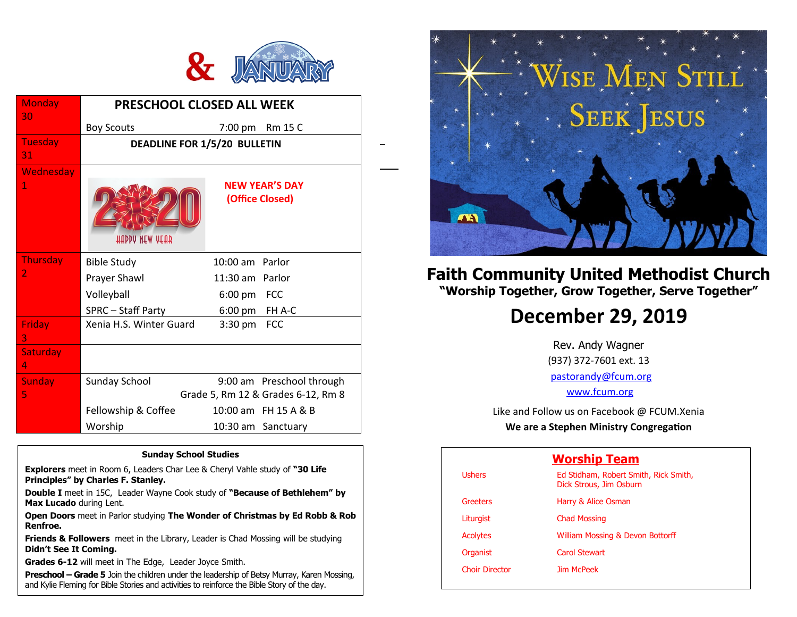

1

| <b>Monday</b><br>30      | <b>PRESCHOOL CLOSED ALL WEEK</b>                                       |                                                                     |  |
|--------------------------|------------------------------------------------------------------------|---------------------------------------------------------------------|--|
|                          | <b>Boy Scouts</b>                                                      | 7:00 pm Rm 15 C                                                     |  |
| <b>Tuesday</b><br>31     | DEADLINE FOR 1/5/20 BULLETIN                                           |                                                                     |  |
| Wednesday<br>$\mathbf 1$ | <b>HUDDA WEM AEUS</b>                                                  | <b>NEW YEAR'S DAY</b><br>(Office Closed)                            |  |
| Thursday<br>2            | <b>Bible Study</b><br>Prayer Shawl<br>Volleyball<br>SPRC - Staff Party | 10:00 am Parlor<br>11:30 am Parlor<br>6:00 pm FCC<br>6:00 pm FH A-C |  |
| Friday<br>3              | Xenia H.S. Winter Guard                                                | <b>FCC</b><br>$3:30 \text{ pm}$                                     |  |
| <b>Saturday</b><br>4     |                                                                        |                                                                     |  |
| <b>Sunday</b><br>5       | Sunday School                                                          | 9:00 am Preschool through<br>Grade 5, Rm 12 & Grades 6-12, Rm 8     |  |
|                          | Fellowship & Coffee                                                    | 10:00 am FH 15 A & B                                                |  |
|                          | Worship                                                                | 10:30 am Sanctuary                                                  |  |

#### **Sunday School Studies**

**Explorers** meet in Room 6, Leaders Char Lee & Cheryl Vahle study of **"30 Life Principles" by Charles F. Stanley.** 

**Double I** meet in 15C, Leader Wayne Cook study of **"Because of Bethlehem" by Max Lucado** during Lent.

**Open Doors** meet in Parlor studying **The Wonder of Christmas by Ed Robb & Rob Renfroe.**

**Friends & Followers** meet in the Library, Leader is Chad Mossing will be studying **Didn't See It Coming.**

**Grades 6-12** will meet in The Edge, Leader Joyce Smith.

**Preschool – Grade 5** Join the children under the leadership of Betsy Murray, Karen Mossing, and Kylie Fleming for Bible Stories and activities to reinforce the Bible Story of the day.



# **Faith Community United Methodist Church "Worship Together, Grow Together, Serve Together"**

# **December 29, 2019**

Rev. Andy Wagner (937) 372-7601 ext. 13 [pastorandy@fcum.org](mailto:pastorandy@fcum.org) [www.fcum.org](http://www.fcum.org/)

Like and Follow us on Facebook @ FCUM.Xenia

**We are a Stephen Ministry Congregation**

| <b>Worship Team</b>   |                                                                  |  |
|-----------------------|------------------------------------------------------------------|--|
| <b>Ushers</b>         | Ed Stidham, Robert Smith, Rick Smith,<br>Dick Strous, Jim Osburn |  |
| Greeters              | Harry & Alice Osman                                              |  |
| Liturgist             | <b>Chad Mossing</b>                                              |  |
| <b>Acolytes</b>       | William Mossing & Devon Bottorff                                 |  |
| Organist              | Carol Stewart                                                    |  |
| <b>Choir Director</b> | <b>Jim McPeek</b>                                                |  |
|                       |                                                                  |  |